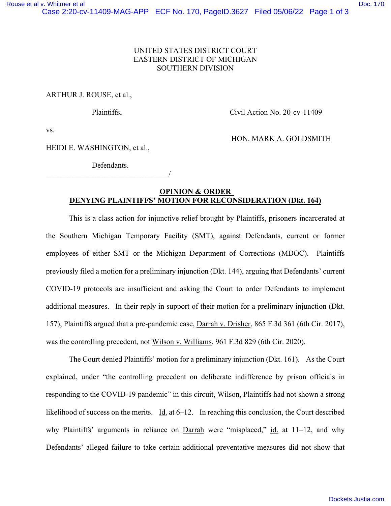## UNITED STATES DISTRICT COURT EASTERN DISTRICT OF MICHIGAN SOUTHERN DIVISION

## ARTHUR J. ROUSE, et al.,

Plaintiffs, Civil Action No. 20-cv-11409

HON. MARK A. GOLDSMITH

vs.

HEIDI E. WASHINGTON, et al.,

Defendants. \_\_\_\_\_\_\_\_\_\_\_\_\_\_\_\_\_\_\_\_\_\_\_\_\_\_\_\_\_\_\_\_/

## **OPINION & ORDER DENYING PLAINTIFFS' MOTION FOR RECONSIDERATION (Dkt. 164)**

This is a class action for injunctive relief brought by Plaintiffs, prisoners incarcerated at the Southern Michigan Temporary Facility (SMT), against Defendants, current or former employees of either SMT or the Michigan Department of Corrections (MDOC). Plaintiffs previously filed a motion for a preliminary injunction (Dkt. 144), arguing that Defendants' current COVID-19 protocols are insufficient and asking the Court to order Defendants to implement additional measures. In their reply in support of their motion for a preliminary injunction (Dkt. 157), Plaintiffs argued that a pre-pandemic case, Darrah v. Drisher, 865 F.3d 361 (6th Cir. 2017), was the controlling precedent, not Wilson v. Williams, 961 F.3d 829 (6th Cir. 2020).

The Court denied Plaintiffs' motion for a preliminary injunction (Dkt. 161). As the Court explained, under "the controlling precedent on deliberate indifference by prison officials in responding to the COVID-19 pandemic" in this circuit, Wilson, Plaintiffs had not shown a strong likelihood of success on the merits. Id. at 6–12. In reaching this conclusion, the Court described why Plaintiffs' arguments in reliance on Darrah were "misplaced," id. at 11–12, and why Defendants' alleged failure to take certain additional preventative measures did not show that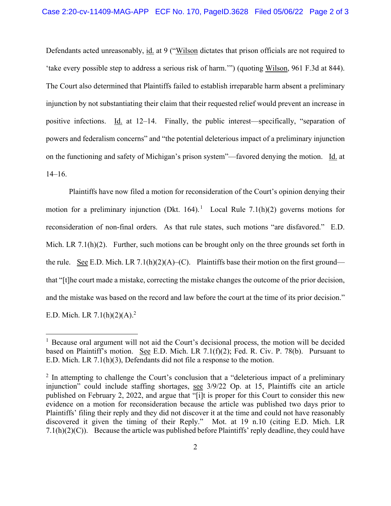Defendants acted unreasonably, id. at 9 ("Wilson dictates that prison officials are not required to 'take every possible step to address a serious risk of harm.'") (quoting Wilson, 961 F.3d at 844). The Court also determined that Plaintiffs failed to establish irreparable harm absent a preliminary injunction by not substantiating their claim that their requested relief would prevent an increase in positive infections. Id. at 12–14. Finally, the public interest—specifically, "separation of powers and federalism concerns" and "the potential deleterious impact of a preliminary injunction on the functioning and safety of Michigan's prison system"—favored denying the motion. Id. at 14–16.

Plaintiffs have now filed a motion for reconsideration of the Court's opinion denying their motion for a preliminary injunction (Dkt. 164).<sup>1</sup> Local Rule 7.1(h)(2) governs motions for reconsideration of non-final orders. As that rule states, such motions "are disfavored." E.D. Mich. LR 7.1(h)(2). Further, such motions can be brought only on the three grounds set forth in the rule. See E.D. Mich. LR 7.1(h)(2)(A)–(C). Plaintiffs base their motion on the first ground that "[t]he court made a mistake, correcting the mistake changes the outcome of the prior decision, and the mistake was based on the record and law before the court at the time of its prior decision." E.D. Mich. LR  $7.1(h)(2)(A)$ .<sup>2</sup>

<sup>&</sup>lt;sup>1</sup> Because oral argument will not aid the Court's decisional process, the motion will be decided based on Plaintiff's motion. See E.D. Mich. LR 7.1(f)(2); Fed. R. Civ. P. 78(b). Pursuant to E.D. Mich. LR 7.1(h)(3), Defendants did not file a response to the motion.

 $2$  In attempting to challenge the Court's conclusion that a "deleterious impact of a preliminary injunction" could include staffing shortages, see 3/9/22 Op. at 15, Plaintiffs cite an article published on February 2, 2022, and argue that "[i]t is proper for this Court to consider this new evidence on a motion for reconsideration because the article was published two days prior to Plaintiffs' filing their reply and they did not discover it at the time and could not have reasonably discovered it given the timing of their Reply." Mot. at 19 n.10 (citing E.D. Mich. LR  $7.1(h)(2)(C)$ ). Because the article was published before Plaintiffs' reply deadline, they could have